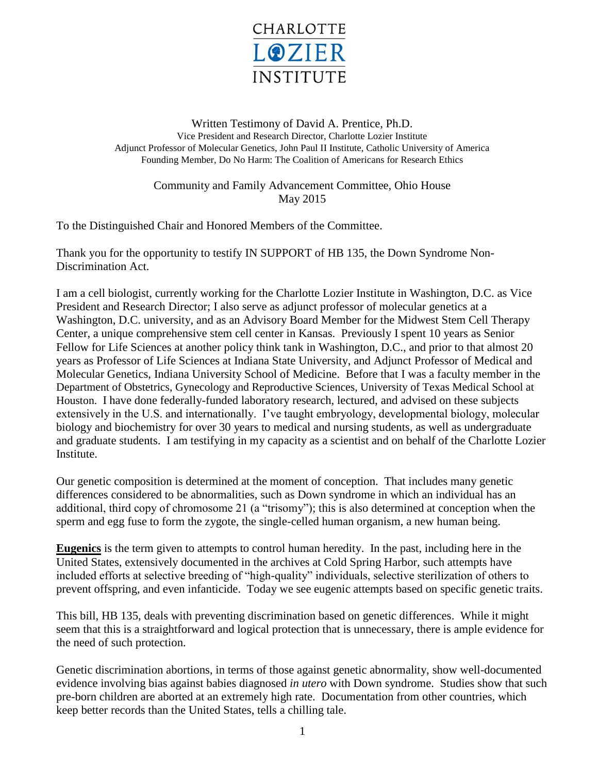

Written Testimony of David A. Prentice, Ph.D. Vice President and Research Director, Charlotte Lozier Institute Adjunct Professor of Molecular Genetics, John Paul II Institute, Catholic University of America Founding Member, Do No Harm: The Coalition of Americans for Research Ethics

> Community and Family Advancement Committee, Ohio House May 2015

To the Distinguished Chair and Honored Members of the Committee.

Thank you for the opportunity to testify IN SUPPORT of HB 135, the Down Syndrome Non-Discrimination Act.

I am a cell biologist, currently working for the Charlotte Lozier Institute in Washington, D.C. as Vice President and Research Director; I also serve as adjunct professor of molecular genetics at a Washington, D.C. university, and as an Advisory Board Member for the Midwest Stem Cell Therapy Center, a unique comprehensive stem cell center in Kansas. Previously I spent 10 years as Senior Fellow for Life Sciences at another policy think tank in Washington, D.C., and prior to that almost 20 years as Professor of Life Sciences at Indiana State University, and Adjunct Professor of Medical and Molecular Genetics, Indiana University School of Medicine. Before that I was a faculty member in the Department of Obstetrics, Gynecology and Reproductive Sciences, University of Texas Medical School at Houston. I have done federally-funded laboratory research, lectured, and advised on these subjects extensively in the U.S. and internationally. I've taught embryology, developmental biology, molecular biology and biochemistry for over 30 years to medical and nursing students, as well as undergraduate and graduate students. I am testifying in my capacity as a scientist and on behalf of the Charlotte Lozier Institute.

Our genetic composition is determined at the moment of conception. That includes many genetic differences considered to be abnormalities, such as Down syndrome in which an individual has an additional, third copy of chromosome 21 (a "trisomy"); this is also determined at conception when the sperm and egg fuse to form the zygote, the single-celled human organism, a new human being.

**Eugenics** is the term given to attempts to control human heredity. In the past, including here in the United States, extensively documented in the archives at Cold Spring Harbor, such attempts have included efforts at selective breeding of "high-quality" individuals, selective sterilization of others to prevent offspring, and even infanticide. Today we see eugenic attempts based on specific genetic traits.

This bill, HB 135, deals with preventing discrimination based on genetic differences. While it might seem that this is a straightforward and logical protection that is unnecessary, there is ample evidence for the need of such protection.

Genetic discrimination abortions, in terms of those against genetic abnormality, show well-documented evidence involving bias against babies diagnosed *in utero* with Down syndrome. Studies show that such pre-born children are aborted at an extremely high rate. Documentation from other countries, which keep better records than the United States, tells a chilling tale.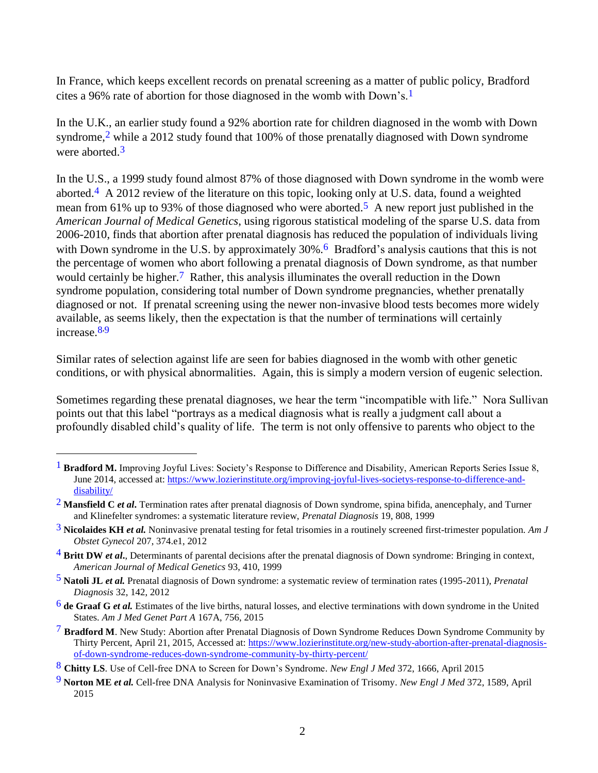In France, which keeps excellent records on prenatal screening as a matter of public policy, Bradford cites a 96% rate of abortion for those diagnosed in the womb with Down's.1

In the U.K., an earlier study found a 92% abortion rate for children diagnosed in the womb with Down syndrome,<sup>2</sup> while a 2012 study found that 100% of those prenatally diagnosed with Down syndrome were aborted.<sup>3</sup>

In the U.S., a 1999 study found almost 87% of those diagnosed with Down syndrome in the womb were aborted.4 A 2012 review of the literature on this topic, looking only at U.S. data, found a weighted mean from 61% up to 93% of those diagnosed who were aborted.<sup>5</sup> A new report just published in the *American Journal of Medical Genetics*, using rigorous statistical modeling of the sparse U.S. data from 2006-2010, finds that abortion after prenatal diagnosis has reduced the population of individuals living with Down syndrome in the U.S. by approximately 30%.<sup>6</sup> Bradford's analysis cautions that this is not the percentage of women who abort following a prenatal diagnosis of Down syndrome, as that number would certainly be higher.<sup>7</sup> Rather, this analysis illuminates the overall reduction in the Down syndrome population, considering total number of Down syndrome pregnancies, whether prenatally diagnosed or not. If prenatal screening using the newer non-invasive blood tests becomes more widely available, as seems likely, then the expectation is that the number of terminations will certainly increase.<sup>8,9</sup>

Similar rates of selection against life are seen for babies diagnosed in the womb with other genetic conditions, or with physical abnormalities. Again, this is simply a modern version of eugenic selection.

Sometimes regarding these prenatal diagnoses, we hear the term "incompatible with life." Nora Sullivan points out that this label "portrays as a medical diagnosis what is really a judgment call about a profoundly disabled child's quality of life. The term is not only offensive to parents who object to the

 $\overline{a}$ 

<sup>&</sup>lt;sup>1</sup> Bradford M. Improving Joyful Lives: Society's Response to Difference and Disability, American Reports Series Issue 8, June 2014, accessed at: [https://www.lozierinstitute.org/improving-joyful-lives-societys-response-to-difference-and](https://www.lozierinstitute.org/improving-joyful-lives-societys-response-to-difference-and-disability/)[disability/](https://www.lozierinstitute.org/improving-joyful-lives-societys-response-to-difference-and-disability/)

<sup>2</sup> **Mansfield C** *et al***.** Termination rates after prenatal diagnosis of Down syndrome, spina bifida, anencephaly, and Turner and Klinefelter syndromes: a systematic literature review, *Prenatal Diagnosis* 19, 808, 1999

<sup>3</sup> **Nicolaides KH** *et al.* Noninvasive prenatal testing for fetal trisomies in a routinely screened first-trimester population. *Am J Obstet Gynecol* 207, 374.e1, 2012

<sup>4</sup> **Britt DW** *et al***.**, Determinants of parental decisions after the prenatal diagnosis of Down syndrome: Bringing in context, *American Journal of Medical Genetics* 93, 410, 1999

<sup>5</sup> **Natoli JL** *et al.* Prenatal diagnosis of Down syndrome: a systematic review of termination rates (1995-2011), *Prenatal Diagnosis* 32, 142, 2012

<sup>6</sup> **de Graaf G** *et al.* Estimates of the live births, natural losses, and elective terminations with down syndrome in the United States. *Am J Med Genet Part A* 167A, 756, 2015

<sup>7</sup> **Bradford M**. New Study: Abortion after Prenatal Diagnosis of Down Syndrome Reduces Down Syndrome Community by Thirty Percent, April 21, 2015, Accessed at: [https://www.lozierinstitute.org/new-study-abortion-after-prenatal-diagnosis](https://www.lozierinstitute.org/new-study-abortion-after-prenatal-diagnosis-of-down-syndrome-reduces-down-syndrome-community-by-thirty-percent/)[of-down-syndrome-reduces-down-syndrome-community-by-thirty-percent/](https://www.lozierinstitute.org/new-study-abortion-after-prenatal-diagnosis-of-down-syndrome-reduces-down-syndrome-community-by-thirty-percent/)

<sup>8</sup> **Chitty LS**. Use of Cell-free DNA to Screen for Down's Syndrome. *New Engl J Med* 372, 1666, April 2015

<sup>9</sup> **Norton ME** *et al.* Cell-free DNA Analysis for Noninvasive Examination of Trisomy. *New Engl J Med* 372, 1589, April 2015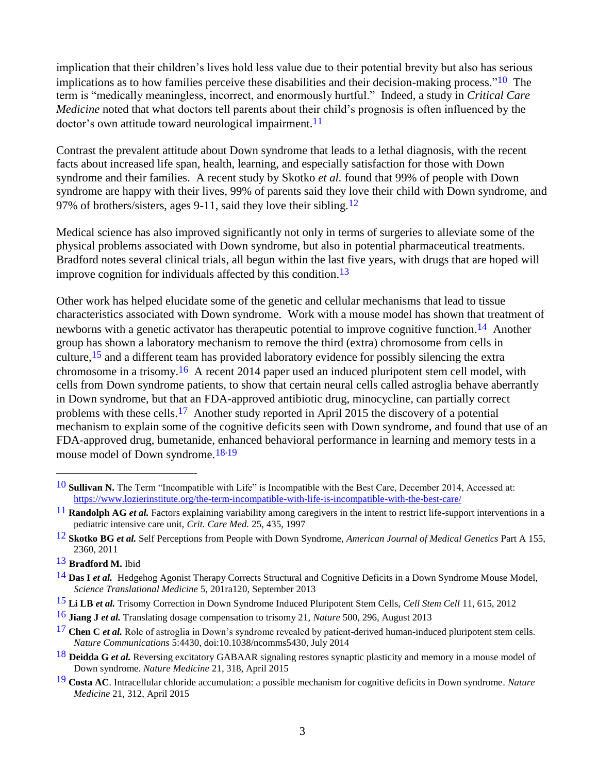implication that their children's lives hold less value due to their potential brevity but also has serious implications as to how families perceive these disabilities and their decision-making process."<sup>10</sup> The term is "medically meaningless, incorrect, and enormously hurtful." Indeed, a study in *Critical Care Medicine* noted that what doctors tell parents about their child's prognosis is often influenced by the doctor's own attitude toward neurological impairment.<sup>11</sup>

Contrast the prevalent attitude about Down syndrome that leads to a lethal diagnosis, with the recent facts about increased life span, health, learning, and especially satisfaction for those with Down syndrome and their families. A recent study by Skotko *et al.* found that 99% of people with Down syndrome are happy with their lives, 99% of parents said they love their child with Down syndrome, and 97% of brothers/sisters, ages 9-11, said they love their sibling.<sup>12</sup>

Medical science has also improved significantly not only in terms of surgeries to alleviate some of the physical problems associated with Down syndrome, but also in potential pharmaceutical treatments. Bradford notes several clinical trials, all begun within the last five years, with drugs that are hoped will improve cognition for individuals affected by this condition. 13

Other work has helped elucidate some of the genetic and cellular mechanisms that lead to tissue characteristics associated with Down syndrome. Work with a mouse model has shown that treatment of newborns with a genetic activator has therapeutic potential to improve cognitive function.<sup>14</sup> Another group has shown a laboratory mechanism to remove the third (extra) chromosome from cells in culture,  $15$  and a different team has provided laboratory evidence for possibly silencing the extra chromosome in a trisomy.<sup>16</sup> A recent 2014 paper used an induced pluripotent stem cell model, with cells from Down syndrome patients, to show that certain neural cells called astroglia behave aberrantly in Down syndrome, but that an FDA-approved antibiotic drug, minocycline, can partially correct problems with these cells.17 Another study reported in April 2015 the discovery of a potential mechanism to explain some of the cognitive deficits seen with Down syndrome, and found that use of an FDA-approved drug, bumetanide, enhanced behavioral performance in learning and memory tests in a mouse model of Down syndrome.<sup>18,19</sup>

 $\overline{a}$ 

<sup>10</sup> **Sullivan N.** The Term "Incompatible with Life" is Incompatible with the Best Care, December 2014, Accessed at: <https://www.lozierinstitute.org/the-term-incompatible-with-life-is-incompatible-with-the-best-care/>

<sup>11</sup> **Randolph AG** *et al.* Factors explaining variability among caregivers in the intent to restrict life-support interventions in a pediatric intensive care unit, *Crit. Care Med.* 25, 435, 1997

<sup>12</sup> **Skotko BG** *et al.* Self Perceptions from People with Down Syndrome, *American Journal of Medical Genetics* Part A 155, 2360, 2011

<sup>13</sup> **Bradford M.** Ibid

<sup>14</sup> **Das I** *et al.* Hedgehog Agonist Therapy Corrects Structural and Cognitive Deficits in a Down Syndrome Mouse Model, *Science Translational Medicine* 5, 201ra120, September 2013

<sup>15</sup> **Li LB** *et al.* Trisomy Correction in Down Syndrome Induced Pluripotent Stem Cells, *Cell Stem Cell* 11, 615, 2012

<sup>16</sup> **Jiang J** *et al.* Translating dosage compensation to trisomy 21, *Nature* 500, 296, August 2013

<sup>&</sup>lt;sup>17</sup> **Chen C** *et al.* Role of astroglia in Down's syndrome revealed by patient-derived human-induced pluripotent stem cells. *Nature Communications* 5:4430, doi:10.1038/ncomms5430, July 2014

<sup>18</sup> **Deidda G** *et al.* Reversing excitatory GABAAR signaling restores synaptic plasticity and memory in a mouse model of Down syndrome. *Nature Medicine* 21, 318, April 2015

<sup>19</sup> **Costa AC**. Intracellular chloride accumulation: a possible mechanism for cognitive deficits in Down syndrome. *Nature Medicine* 21, 312, April 2015